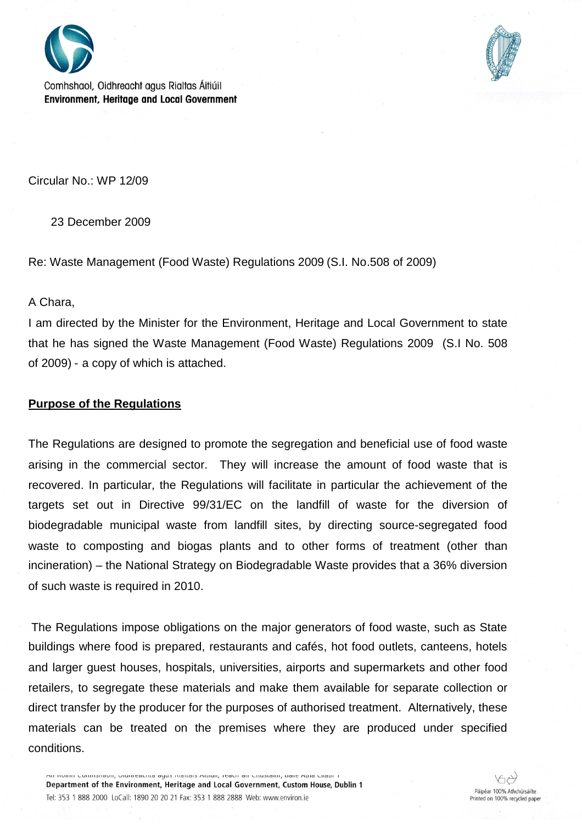

Comhshaol, Oidhreacht agus Rialtas Áitiúil **Environment, Heritage and Local Government** 



Circular No.: WP 12/09

23 December 2009

Re: Waste Management (Food Waste) Regulations 2009 (S.I. No.508 of 2009)

A Chara,

I am directed by the Minister for the Environment, Heritage and Local Government to state that he has signed the Waste Management (Food Waste) Regulations 2009 (S.I No. 508 of 2009) - a copy of which is attached.

## **Purpose of the Regulations**

The Regulations are designed to promote the segregation and beneficial use of food waste arising in the commercial sector. They will increase the amount of food waste that is recovered. In particular, the Regulations will facilitate in particular the achievement of the targets set out in Directive 99/31/EC on the landfill of waste for the diversion of biodegradable municipal waste from landfill sites, by directing source-segregated food waste to composting and biogas plants and to other forms of treatment (other than incineration) – the National Strategy on Biodegradable Waste provides that a 36% diversion of such waste is required in 2010.

The Regulations impose obligations on the major generators of food waste, such as State buildings where food is prepared, restaurants and cafés, hot food outlets, canteens, hotels and larger guest houses, hospitals, universities, airports and supermarkets and other food retailers, to segregate these materials and make them available for separate collection or direct transfer by the producer for the purposes of authorised treatment. Alternatively, these materials can be treated on the premises where they are produced under specified conditions.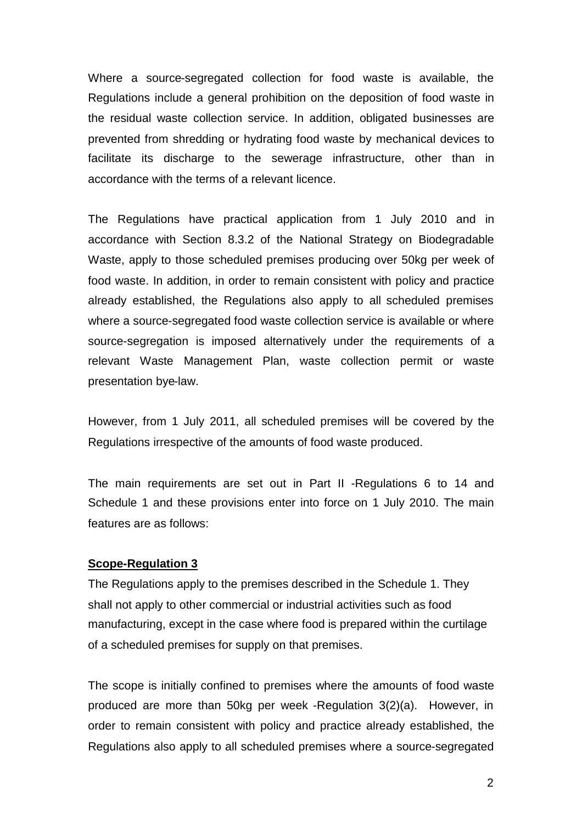Where a source-segregated collection for food waste is available, the Regulations include a general prohibition on the deposition of food waste in the residual waste collection service. In addition, obligated businesses are prevented from shredding or hydrating food waste by mechanical devices to facilitate its discharge to the sewerage infrastructure, other than in accordance with the terms of a relevant licence.

The Regulations have practical application from 1 July 2010 and in accordance with Section 8.3.2 of the National Strategy on Biodegradable Waste, apply to those scheduled premises producing over 50kg per week of food waste. In addition, in order to remain consistent with policy and practice already established, the Regulations also apply to all scheduled premises where a source-segregated food waste collection service is available or where source-segregation is imposed alternatively under the requirements of a relevant Waste Management Plan, waste collection permit or waste presentation bye-law.

However, from 1 July 2011, all scheduled premises will be covered by the Regulations irrespective of the amounts of food waste produced.

The main requirements are set out in Part II -Regulations 6 to 14 and Schedule 1 and these provisions enter into force on 1 July 2010. The main features are as follows:

#### **Scope-Regulation 3**

The Regulations apply to the premises described in the Schedule 1. They shall not apply to other commercial or industrial activities such as food manufacturing, except in the case where food is prepared within the curtilage of a scheduled premises for supply on that premises.

The scope is initially confined to premises where the amounts of food waste produced are more than 50kg per week -Regulation 3(2)(a). However, in order to remain consistent with policy and practice already established, the Regulations also apply to all scheduled premises where a source-segregated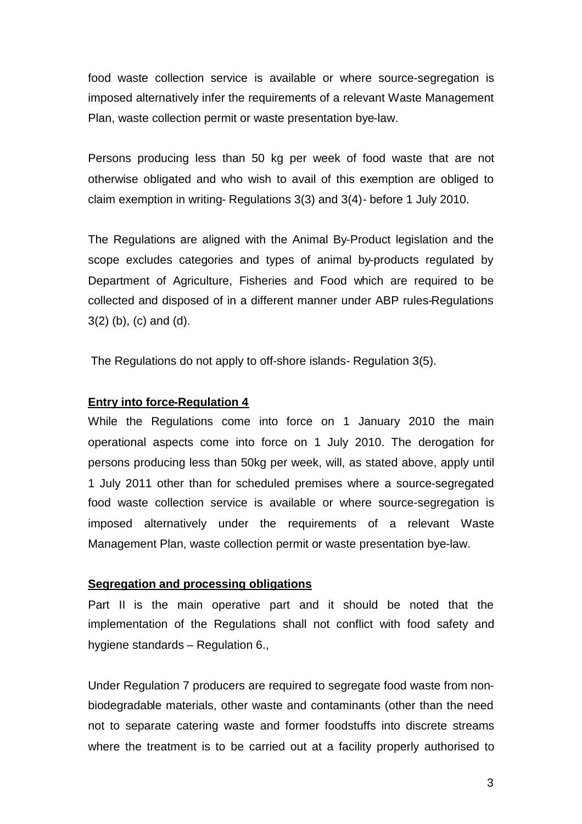food waste collection service is available or where source-segregation is imposed alternatively infer the requirements of a relevant Waste Management Plan, waste collection permit or waste presentation bye-law.

Persons producing less than 50 kg per week of food waste that are not otherwise obligated and who wish to avail of this exemption are obliged to claim exemption in writing- Regulations 3(3) and 3(4)- before 1 July 2010.

The Regulations are aligned with the Animal By-Product legislation and the scope excludes categories and types of animal by-products regulated by Department of Agriculture, Fisheries and Food which are required to be collected and disposed of in a different manner under ABP rules-Regulations 3(2) (b), (c) and (d).

The Regulations do not apply to off-shore islands- Regulation 3(5).

## **Entry into force-Regulation 4**

While the Regulations come into force on 1 January 2010 the main operational aspects come into force on 1 July 2010. The derogation for persons producing less than 50kg per week, will, as stated above, apply until 1 July 2011 other than for scheduled premises where a source-segregated food waste collection service is available or where source-segregation is imposed alternatively under the requirements of a relevant Waste Management Plan, waste collection permit or waste presentation bye-law.

#### **Segregation and processing obligations**

Part II is the main operative part and it should be noted that the implementation of the Regulations shall not conflict with food safety and hygiene standards – Regulation 6.,

Under Regulation 7 producers are required to segregate food waste from nonbiodegradable materials, other waste and contaminants (other than the need not to separate catering waste and former foodstuffs into discrete streams where the treatment is to be carried out at a facility properly authorised to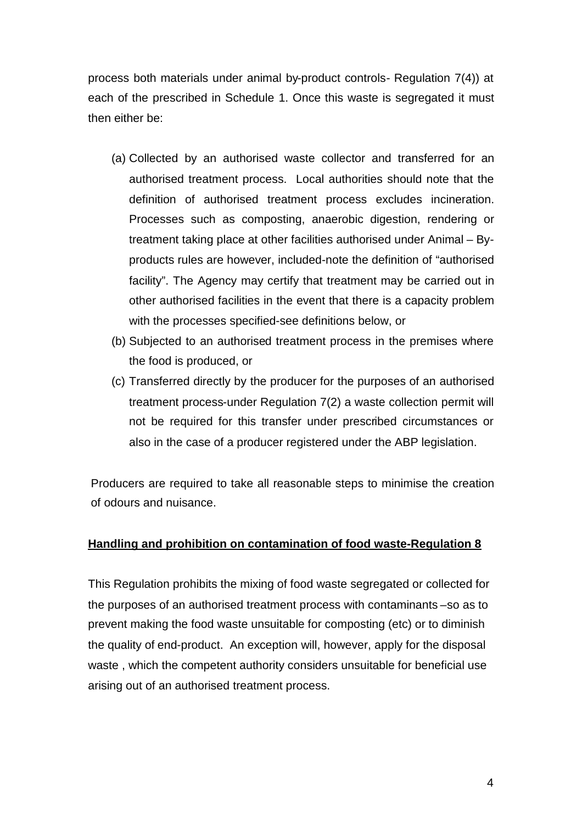process both materials under animal by-product controls- Regulation 7(4)) at each of the prescribed in Schedule 1. Once this waste is segregated it must then either be:

- (a) Collected by an authorised waste collector and transferred for an authorised treatment process. Local authorities should note that the definition of authorised treatment process excludes incineration. Processes such as composting, anaerobic digestion, rendering or treatment taking place at other facilities authorised under Animal – Byproducts rules are however, included-note the definition of "authorised facility". The Agency may certify that treatment may be carried out in other authorised facilities in the event that there is a capacity problem with the processes specified-see definitions below, or
- (b) Subjected to an authorised treatment process in the premises where the food is produced, or
- (c) Transferred directly by the producer for the purposes of an authorised treatment process-under Regulation 7(2) a waste collection permit will not be required for this transfer under prescribed circumstances or also in the case of a producer registered under the ABP legislation.

Producers are required to take all reasonable steps to minimise the creation of odours and nuisance.

## **Handling and prohibition on contamination of food waste-Regulation 8**

This Regulation prohibits the mixing of food waste segregated or collected for the purposes of an authorised treatment process with contaminants –so as to prevent making the food waste unsuitable for composting (etc) or to diminish the quality of end-product. An exception will, however, apply for the disposal waste , which the competent authority considers unsuitable for beneficial use arising out of an authorised treatment process.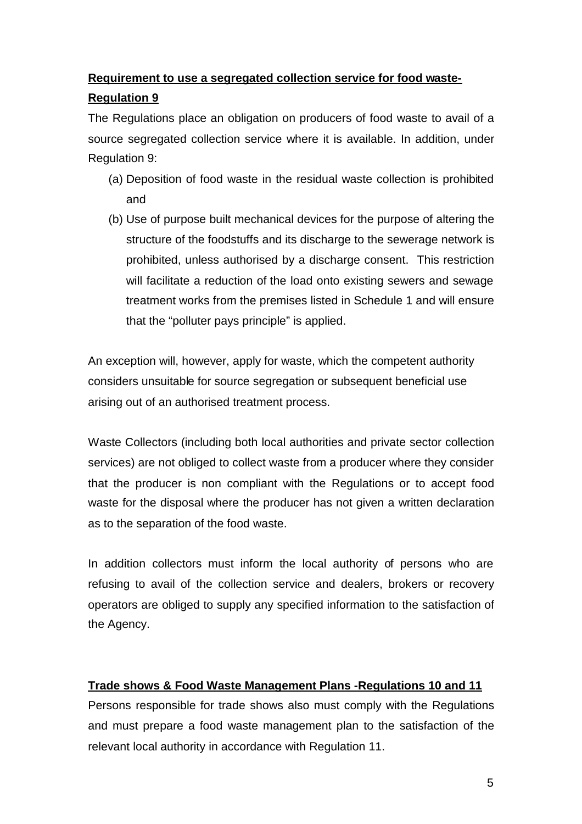# **Requirement to use a segregated collection service for food waste-**

# **Regulation 9**

The Regulations place an obligation on producers of food waste to avail of a source segregated collection service where it is available. In addition, under Regulation 9:

- (a) Deposition of food waste in the residual waste collection is prohibited and
- (b) Use of purpose built mechanical devices for the purpose of altering the structure of the foodstuffs and its discharge to the sewerage network is prohibited, unless authorised by a discharge consent. This restriction will facilitate a reduction of the load onto existing sewers and sewage treatment works from the premises listed in Schedule 1 and will ensure that the "polluter pays principle" is applied.

An exception will, however, apply for waste, which the competent authority considers unsuitable for source segregation or subsequent beneficial use arising out of an authorised treatment process.

Waste Collectors (including both local authorities and private sector collection services) are not obliged to collect waste from a producer where they consider that the producer is non compliant with the Regulations or to accept food waste for the disposal where the producer has not given a written declaration as to the separation of the food waste.

In addition collectors must inform the local authority of persons who are refusing to avail of the collection service and dealers, brokers or recovery operators are obliged to supply any specified information to the satisfaction of the Agency.

# **Trade shows & Food Waste Management Plans -Regulations 10 and 11**

Persons responsible for trade shows also must comply with the Regulations and must prepare a food waste management plan to the satisfaction of the relevant local authority in accordance with Regulation 11.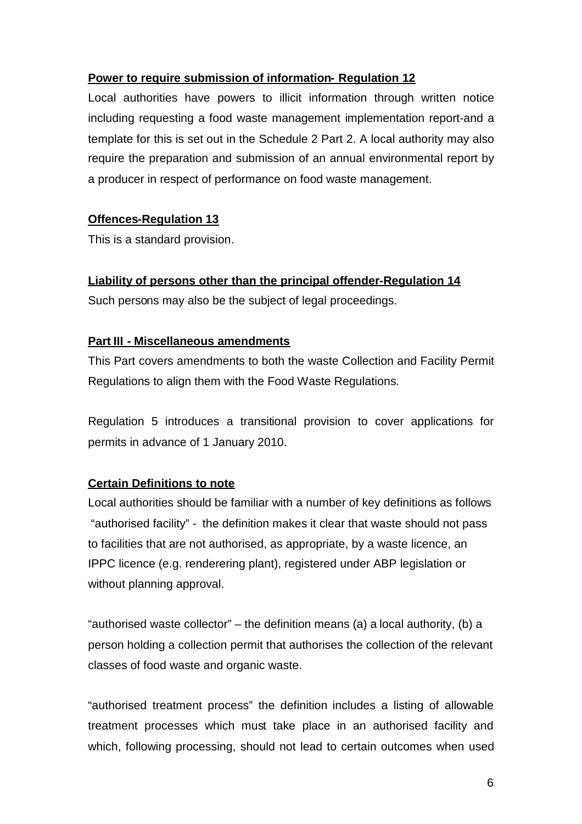## **Power to require submission of information- Regulation 12**

Local authorities have powers to illicit information through written notice including requesting a food waste management implementation report-and a template for this is set out in the Schedule 2 Part 2. A local authority may also require the preparation and submission of an annual environmental report by a producer in respect of performance on food waste management.

# **Offences-Regulation 13**

This is a standard provision.

## **Liability of persons other than the principal offender-Regulation 14**

Such persons may also be the subject of legal proceedings.

## **Part III - Miscellaneous amendments**

This Part covers amendments to both the waste Collection and Facility Permit Regulations to align them with the Food Waste Regulations.

Regulation 5 introduces a transitional provision to cover applications for permits in advance of 1 January 2010.

# **Certain Definitions to note**

Local authorities should be familiar with a number of key definitions as follows "authorised facility" - the definition makes it clear that waste should not pass to facilities that are not authorised, as appropriate, by a waste licence, an IPPC licence (e.g. renderering plant), registered under ABP legislation or without planning approval.

"authorised waste collector" – the definition means (a) a local authority, (b) a person holding a collection permit that authorises the collection of the relevant classes of food waste and organic waste.

"authorised treatment process" the definition includes a listing of allowable treatment processes which must take place in an authorised facility and which, following processing, should not lead to certain outcomes when used